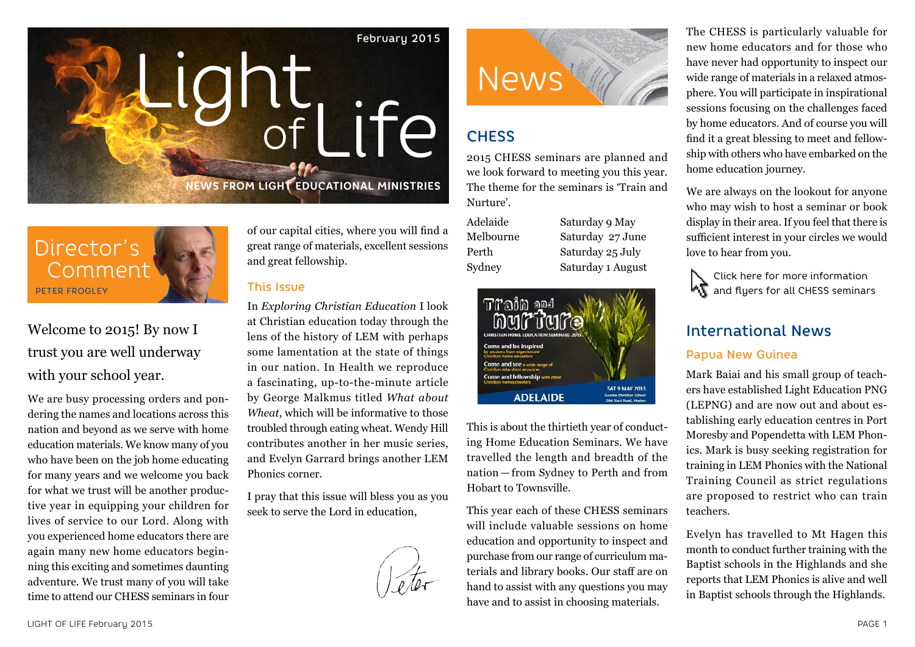# of Life **NEWS FROM LIGHT EDUCATIONAL MINISTRIES** February 2015 Light



# Welcome to 2015! By now I trust you are well underway with your school year.

We are busy processing orders and pondering the names and locations across this nation and beyond as we serve with home education materials. We know many of you who have been on the job home educating for many years and we welcome you back for what we trust will be another productive year in equipping your children for lives of service to our Lord. Along with you experienced home educators there are again many new home educators beginning this exciting and sometimes daunting adventure. We trust many of you will take time to attend our CHESS seminars in four of our capital cities, where you will find a great range of materials, excellent sessions and great fellowship.

## This Issue

In *Exploring Christian Education* I look at Christian education today through the lens of the history of LEM with perhaps some lamentation at the state of things in our nation. In Health we reproduce a fascinating, up-to-the-minute article by George Malkmus titled *What about Wheat*, which will be informative to those troubled through eating wheat. Wendy Hill contributes another in her music series, and Evelyn Garrard brings another LEM Phonics corner.

I pray that this issue will bless you as you seek to serve the Lord in education,





# **CHESS**

2015 CHESS seminars are planned and we look forward to meeting you this year. The theme for the seminars is 'Train and Nurture'.

Adelaide Saturday 9 May Melbourne Saturday 27 June Perth Saturday 25 July Sydney Saturday 1 August



This is about the thirtieth year of conducting Home Education Seminars. We have travelled the length and breadth of the nation — from Sydney to Perth and from Hobart to Townsville.

This year each of these CHESS seminars will include valuable sessions on home education and opportunity to inspect and purchase from our range of curriculum materials and library books. Our staff are on hand to assist with any questions you may have and to assist in choosing materials.

The CHESS is particularly valuable for new home educators and for those who have never had opportunity to inspect our wide range of materials in a relaxed atmosphere. You will participate in inspirational sessions focusing on the challenges faced by home educators. And of course you will find it a great blessing to meet and fellowship with others who have embarked on the home education journey.

We are always on the lookout for anyone who may wish to host a seminar or book display in their area. If you feel that there is sufficient interest in your circles we would love to hear from you.

Click here for more information and flyers for all CHESS seminars

# International News

## Papua New Guinea

Mark Baiai and his small group of teachers have established Light Education PNG (LEPNG) and are now out and about establishing early education centres in Port Moresby and Popendetta with LEM Phonics. Mark is busy seeking registration for training in LEM Phonics with the National Training Council as strict regulations are proposed to restrict who can train teachers.

Evelyn has travelled to Mt Hagen this month to conduct further training with the Baptist schools in the Highlands and she reports that LEM Phonics is alive and well in Baptist schools through the Highlands.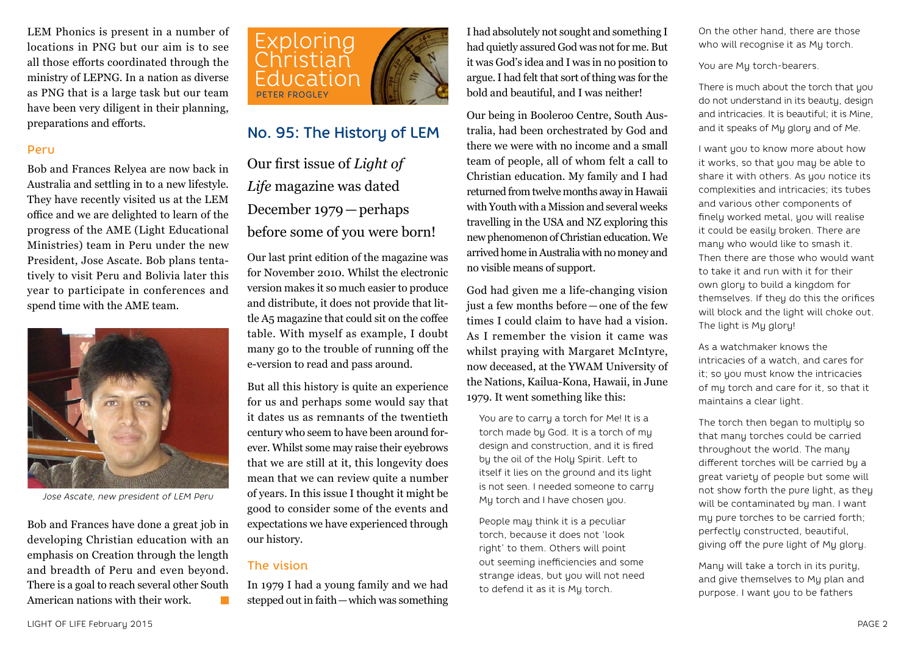LEM Phonics is present in a number of locations in PNG but our aim is to see all those efforts coordinated through the ministry of LEPNG. In a nation as diverse as PNG that is a large task but our team have been very diligent in their planning, preparations and efforts.

#### Peru

Bob and Frances Relyea are now back in Australia and settling in to a new lifestyle. They have recently visited us at the LEM office and we are delighted to learn of the progress of the AME (Light Educational Ministries) team in Peru under the new President, Jose Ascate. Bob plans tentatively to visit Peru and Bolivia later this year to participate in conferences and spend time with the AME team.



*Jose Ascate, new president of LEM Peru*

Bob and Frances have done a great job in developing Christian education with an emphasis on Creation through the length and breadth of Peru and even beyond. There is a goal to reach several other South American nations with their work.



# No. 95: The History of LEM

Our first issue of *Light of Life* magazine was dated December 1979—perhaps before some of you were born!

Our last print edition of the magazine was for November 2010. Whilst the electronic version makes it so much easier to produce and distribute, it does not provide that little A5 magazine that could sit on the coffee table. With myself as example, I doubt many go to the trouble of running off the e-version to read and pass around.

But all this history is quite an experience for us and perhaps some would say that it dates us as remnants of the twentieth century who seem to have been around forever. Whilst some may raise their eyebrows that we are still at it, this longevity does mean that we can review quite a number of years. In this issue I thought it might be good to consider some of the events and expectations we have experienced through our history.

## The vision

In 1979 I had a young family and we had stepped out in faith—which was something

I had absolutely not sought and something I had quietly assured God was not for me. But it was God's idea and I was in no position to argue. I had felt that sort of thing was for the bold and beautiful, and I was neither!

Our being in Booleroo Centre, South Australia, had been orchestrated by God and there we were with no income and a small team of people, all of whom felt a call to Christian education. My family and I had returned from twelve months away in Hawaii with Youth with a Mission and several weeks travelling in the USA and NZ exploring this new phenomenon of Christian education. We arrived home in Australia with no money and no visible means of support.

God had given me a life-changing vision just a few months before—one of the few times I could claim to have had a vision. As I remember the vision it came was whilst praying with Margaret McIntyre, now deceased, at the YWAM University of the Nations, Kailua-Kona, Hawaii, in June 1979. It went something like this:

You are to carry a torch for Me! It is a torch made by God. It is a torch of my design and construction, and it is fired by the oil of the Holy Spirit. Left to itself it lies on the ground and its light is not seen. I needed someone to carry My torch and I have chosen you.

People may think it is a peculiar torch, because it does not 'look right' to them. Others will point out seeming inefficiencies and some strange ideas, but you will not need to defend it as it is My torch.

On the other hand, there are those who will recognise it as My torch.

You are My torch-bearers.

There is much about the torch that you do not understand in its beauty, design and intricacies. It is beautiful; it is Mine and it speaks of My glory and of Me.

I want you to know more about how it works, so that you may be able to share it with others. As you notice its complexities and intricacies; its tubes and various other components of finely worked metal, you will realise it could be easily broken. There are many who would like to smash it. Then there are those who would want to take it and run with it for their own glory to build a kingdom for themselves. If they do this the orifices will block and the light will choke out. The light is My glory!

As a watchmaker knows the intricacies of a watch, and cares for it; so you must know the intricacies of my torch and care for it, so that it maintains a clear light.

The torch then began to multiply so that many torches could be carried throughout the world. The many different torches will be carried by a great variety of people but some will not show forth the pure light, as they will be contaminated by man. I want my pure torches to be carried forth; perfectly constructed, beautiful, giving off the pure light of My glory.

Many will take a torch in its purity, and give themselves to My plan and purpose. I want you to be fathers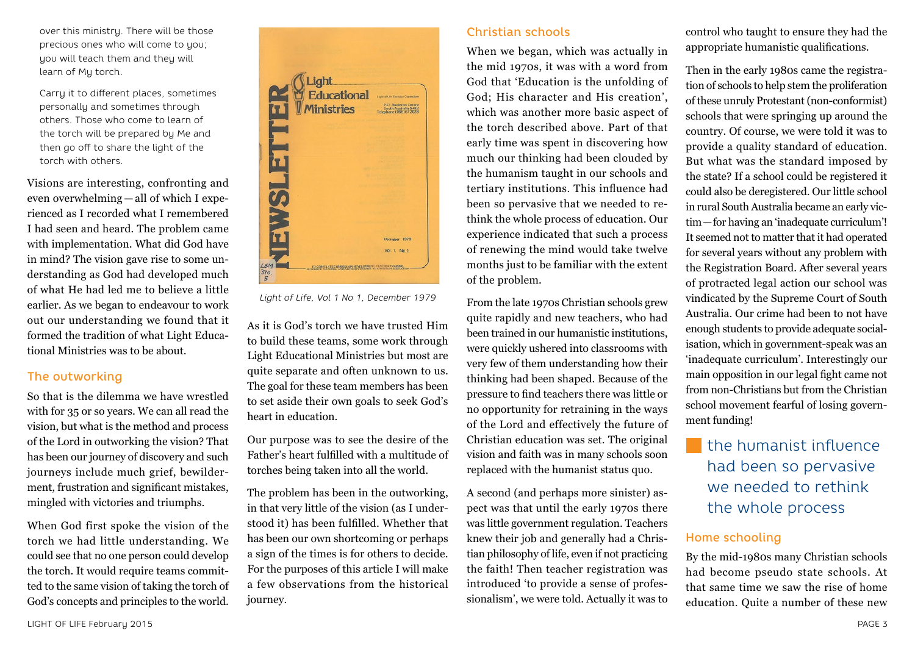over this ministry. There will be those precious ones who will come to you; you will teach them and they will learn of My torch.

Carry it to different places, sometimes personally and sometimes through others. Those who come to learn of the torch will be prepared by Me and then go off to share the light of the torch with others.

Visions are interesting, confronting and even overwhelming — all of which I experienced as I recorded what I remembered I had seen and heard. The problem came with implementation. What did God have in mind? The vision gave rise to some understanding as God had developed much of what He had led me to believe a little earlier. As we began to endeavour to work out our understanding we found that it formed the tradition of what Light Educational Ministries was to be about.

## The outworking

So that is the dilemma we have wrestled with for 35 or so years. We can all read the vision, but what is the method and process of the Lord in outworking the vision? That has been our journey of discovery and such journeys include much grief, bewilderment, frustration and significant mistakes, mingled with victories and triumphs.

When God first spoke the vision of the torch we had little understanding. We could see that no one person could develop the torch. It would require teams committed to the same vision of taking the torch of God's concepts and principles to the world.



*Light of Life, Vol 1 No 1, December 1979*

As it is God's torch we have trusted Him to build these teams, some work through Light Educational Ministries but most are quite separate and often unknown to us. The goal for these team members has been to set aside their own goals to seek God's heart in education.

Our purpose was to see the desire of the Father's heart fulfilled with a multitude of torches being taken into all the world.

The problem has been in the outworking, in that very little of the vision (as I understood it) has been fulfilled. Whether that has been our own shortcoming or perhaps a sign of the times is for others to decide. For the purposes of this article I will make a few observations from the historical journey.

## Christian schools

When we began, which was actually in the mid 1970s, it was with a word from God that 'Education is the unfolding of God; His character and His creation', which was another more basic aspect of the torch described above. Part of that early time was spent in discovering how much our thinking had been clouded by the humanism taught in our schools and tertiary institutions. This influence had been so pervasive that we needed to rethink the whole process of education. Our experience indicated that such a process of renewing the mind would take twelve months just to be familiar with the extent of the problem.

From the late 1970s Christian schools grew quite rapidly and new teachers, who had been trained in our humanistic institutions, were quickly ushered into classrooms with very few of them understanding how their thinking had been shaped. Because of the pressure to find teachers there was little or no opportunity for retraining in the ways of the Lord and effectively the future of Christian education was set. The original vision and faith was in many schools soon replaced with the humanist status quo.

A second (and perhaps more sinister) aspect was that until the early 1970s there was little government regulation. Teachers knew their job and generally had a Christian philosophy of life, even if not practicing the faith! Then teacher registration was introduced 'to provide a sense of professionalism', we were told. Actually it was to

control who taught to ensure they had the appropriate humanistic qualifications.

Then in the early 1980s came the registration of schools to help stem the proliferation of these unruly Protestant (non-conformist) schools that were springing up around the country. Of course, we were told it was to provide a quality standard of education. But what was the standard imposed by the state? If a school could be registered it could also be deregistered. Our little school in rural South Australia became an early victim—for having an 'inadequate curriculum'! It seemed not to matter that it had operated for several years without any problem with the Registration Board. After several years of protracted legal action our school was vindicated by the Supreme Court of South Australia. Our crime had been to not have enough students to provide adequate socialisation, which in government-speak was an 'inadequate curriculum'. Interestingly our main opposition in our legal fight came not from non-Christians but from the Christian school movement fearful of losing government funding!

# the humanist influence had been so pervasive we needed to rethink the whole process

## Home schooling

By the mid-1980s many Christian schools had become pseudo state schools. At that same time we saw the rise of home education. Quite a number of these new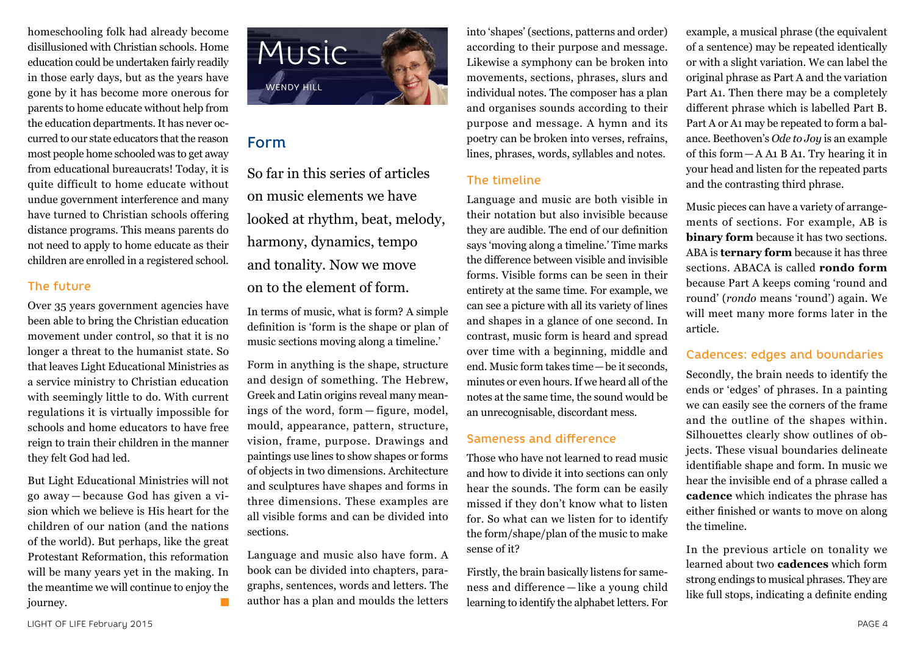homeschooling folk had already become disillusioned with Christian schools. Home education could be undertaken fairly readily in those early days, but as the years have gone by it has become more onerous for parents to home educate without help from the education departments. It has never occurred to our state educators that the reason most people home schooled was to get away from educational bureaucrats! Today, it is quite difficult to home educate without undue government interference and many have turned to Christian schools offering distance programs. This means parents do not need to apply to home educate as their children are enrolled in a registered school.

## The future

Over 35 years government agencies have been able to bring the Christian education movement under control, so that it is no longer a threat to the humanist state. So that leaves Light Educational Ministries as a service ministry to Christian education with seemingly little to do. With current regulations it is virtually impossible for schools and home educators to have free reign to train their children in the manner they felt God had led.

But Light Educational Ministries will not go away — because God has given a vision which we believe is His heart for the children of our nation (and the nations of the world). But perhaps, like the great Protestant Reformation, this reformation will be many years yet in the making. In the meantime we will continue to enjoy the journey.



## Form

So far in this series of articles on music elements we have looked at rhythm, beat, melody, harmony, dynamics, tempo and tonality. Now we move on to the element of form.

In terms of music, what is form? A simple definition is 'form is the shape or plan of music sections moving along a timeline.'

Form in anything is the shape, structure and design of something. The Hebrew, Greek and Latin origins reveal many meanings of the word, form — figure, model, mould, appearance, pattern, structure, vision, frame, purpose. Drawings and paintings use lines to show shapes or forms of objects in two dimensions. Architecture and sculptures have shapes and forms in three dimensions. These examples are all visible forms and can be divided into sections.

Language and music also have form. A book can be divided into chapters, paragraphs, sentences, words and letters. The author has a plan and moulds the letters

into 'shapes' (sections, patterns and order) according to their purpose and message. Likewise a symphony can be broken into movements, sections, phrases, slurs and individual notes. The composer has a plan and organises sounds according to their purpose and message. A hymn and its poetry can be broken into verses, refrains, lines, phrases, words, syllables and notes.

## The timeline

Language and music are both visible in their notation but also invisible because they are audible. The end of our definition says 'moving along a timeline.' Time marks the difference between visible and invisible forms. Visible forms can be seen in their entirety at the same time. For example, we can see a picture with all its variety of lines and shapes in a glance of one second. In contrast, music form is heard and spread over time with a beginning, middle and end. Music form takes time—be it seconds, minutes or even hours. If we heard all of the notes at the same time, the sound would be an unrecognisable, discordant mess.

## Sameness and difference

Those who have not learned to read music and how to divide it into sections can only hear the sounds. The form can be easily missed if they don't know what to listen for. So what can we listen for to identify the form/shape/plan of the music to make sense of it?

Firstly, the brain basically listens for sameness and difference — like a young child learning to identify the alphabet letters. For

example, a musical phrase (the equivalent of a sentence) may be repeated identically or with a slight variation. We can label the original phrase as Part A and the variation Part A1. Then there may be a completely different phrase which is labelled Part B. Part A or A1 may be repeated to form a balance. Beethoven's *Ode to Joy* is an example of this form—A A1 B A1. Try hearing it in your head and listen for the repeated parts and the contrasting third phrase.

Music pieces can have a variety of arrangements of sections. For example, AB is **binary form** because it has two sections. ABA is **ternary form** because it has three sections. ABACA is called **rondo form** because Part A keeps coming 'round and round' (*rondo* means 'round') again. We will meet many more forms later in the article.

## Cadences: edges and boundaries

Secondly, the brain needs to identify the ends or 'edges' of phrases. In a painting we can easily see the corners of the frame and the outline of the shapes within. Silhouettes clearly show outlines of objects. These visual boundaries delineate identifiable shape and form. In music we hear the invisible end of a phrase called a **cadence** which indicates the phrase has either finished or wants to move on along the timeline.

In the previous article on tonality we learned about two **cadences** which form strong endings to musical phrases. They are like full stops, indicating a definite ending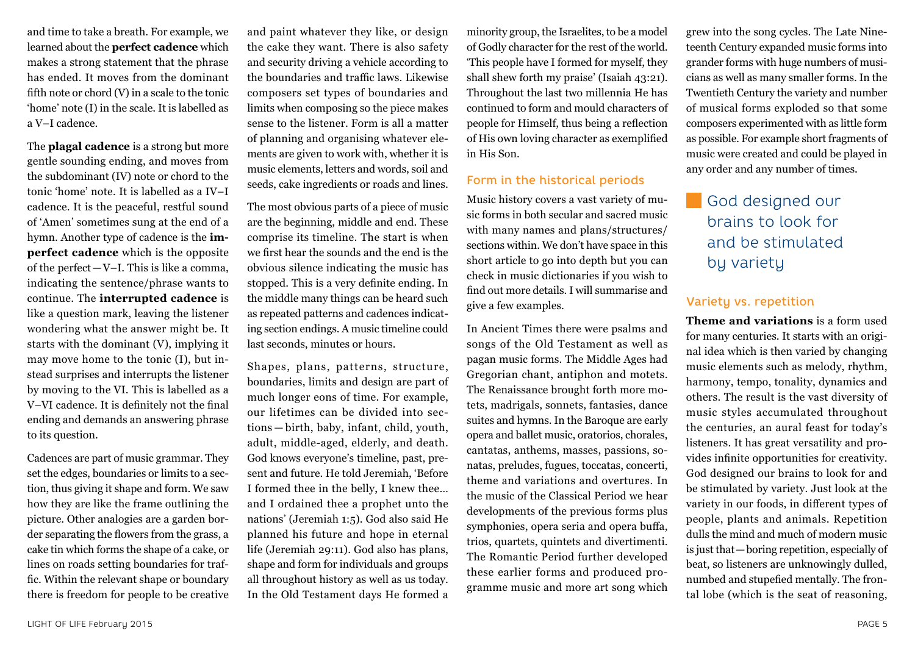and time to take a breath. For example, we learned about the **perfect cadence** which makes a strong statement that the phrase has ended. It moves from the dominant fifth note or chord (V) in a scale to the tonic 'home' note (I) in the scale. It is labelled as a V–I cadence.

The **plagal cadence** is a strong but more gentle sounding ending, and moves from the subdominant (IV) note or chord to the tonic 'home' note. It is labelled as a IV–I cadence. It is the peaceful, restful sound of 'Amen' sometimes sung at the end of a hymn. Another type of cadence is the **imperfect cadence** which is the opposite of the perfect—V–I. This is like a comma, indicating the sentence/phrase wants to continue. The **interrupted cadence** is like a question mark, leaving the listener wondering what the answer might be. It starts with the dominant (V), implying it may move home to the tonic (I), but instead surprises and interrupts the listener by moving to the VI. This is labelled as a V–VI cadence. It is definitely not the final ending and demands an answering phrase to its question.

Cadences are part of music grammar. They set the edges, boundaries or limits to a section, thus giving it shape and form. We saw how they are like the frame outlining the picture. Other analogies are a garden border separating the flowers from the grass, a cake tin which forms the shape of a cake, or lines on roads setting boundaries for traffic. Within the relevant shape or boundary there is freedom for people to be creative

and paint whatever they like, or design the cake they want. There is also safety and security driving a vehicle according to the boundaries and traffic laws. Likewise composers set types of boundaries and limits when composing so the piece makes sense to the listener. Form is all a matter of planning and organising whatever elements are given to work with, whether it is music elements, letters and words, soil and seeds, cake ingredients or roads and lines.

The most obvious parts of a piece of music are the beginning, middle and end. These comprise its timeline. The start is when we first hear the sounds and the end is the obvious silence indicating the music has stopped. This is a very definite ending. In the middle many things can be heard such as repeated patterns and cadences indicating section endings. A music timeline could last seconds, minutes or hours.

Shapes, plans, patterns, structure, boundaries, limits and design are part of much longer eons of time. For example, our lifetimes can be divided into sections — birth, baby, infant, child, youth, adult, middle-aged, elderly, and death. God knows everyone's timeline, past, present and future. He told Jeremiah, 'Before I formed thee in the belly, I knew thee… and I ordained thee a prophet unto the nations' (Jeremiah 1:5). God also said He planned his future and hope in eternal life (Jeremiah 29:11). God also has plans, shape and form for individuals and groups all throughout history as well as us today. In the Old Testament days He formed a

minority group, the Israelites, to be a model of Godly character for the rest of the world. 'This people have I formed for myself, they shall shew forth my praise' (Isaiah 43:21). Throughout the last two millennia He has continued to form and mould characters of people for Himself, thus being a reflection of His own loving character as exemplified in His Son.

## Form in the historical periods

Music history covers a vast variety of music forms in both secular and sacred music with many names and plans/structures/ sections within. We don't have space in this short article to go into depth but you can check in music dictionaries if you wish to find out more details. I will summarise and give a few examples.

In Ancient Times there were psalms and songs of the Old Testament as well as pagan music forms. The Middle Ages had Gregorian chant, antiphon and motets. The Renaissance brought forth more motets, madrigals, sonnets, fantasies, dance suites and hymns. In the Baroque are early opera and ballet music, oratorios, chorales, cantatas, anthems, masses, passions, sonatas, preludes, fugues, toccatas, concerti, theme and variations and overtures. In the music of the Classical Period we hear developments of the previous forms plus symphonies, opera seria and opera buffa, trios, quartets, quintets and divertimenti. The Romantic Period further developed these earlier forms and produced programme music and more art song which grew into the song cycles. The Late Nineteenth Century expanded music forms into grander forms with huge numbers of musicians as well as many smaller forms. In the Twentieth Century the variety and number of musical forms exploded so that some composers experimented with as little form as possible. For example short fragments of music were created and could be played in any order and any number of times.

God designed our brains to look for and be stimulated bu varietu

## Variety vs. repetition

**Theme and variations** is a form used for many centuries. It starts with an original idea which is then varied by changing music elements such as melody, rhythm, harmony, tempo, tonality, dynamics and others. The result is the vast diversity of music styles accumulated throughout the centuries, an aural feast for today's listeners. It has great versatility and provides infinite opportunities for creativity. God designed our brains to look for and be stimulated by variety. Just look at the variety in our foods, in different types of people, plants and animals. Repetition dulls the mind and much of modern music is just that—boring repetition, especially of beat, so listeners are unknowingly dulled, numbed and stupefied mentally. The frontal lobe (which is the seat of reasoning,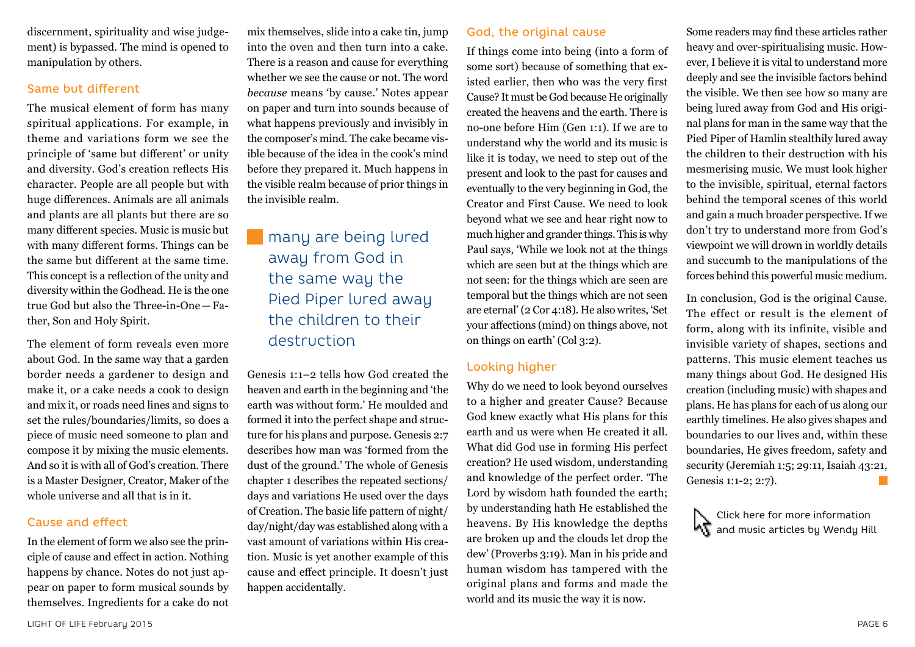discernment, spirituality and wise judgement) is bypassed. The mind is opened to manipulation by others.

## Same but different

The musical element of form has many spiritual applications. For example, in theme and variations form we see the principle of 'same but different' or unity and diversity. God's creation reflects His character. People are all people but with huge differences. Animals are all animals and plants are all plants but there are so many different species. Music is music but with many different forms. Things can be the same but different at the same time. This concept is a reflection of the unity and diversity within the Godhead. He is the one true God but also the Three-in-One—Father, Son and Holy Spirit.

The element of form reveals even more about God. In the same way that a garden border needs a gardener to design and make it, or a cake needs a cook to design and mix it, or roads need lines and signs to set the rules/boundaries/limits, so does a piece of music need someone to plan and compose it by mixing the music elements. And so it is with all of God's creation. There is a Master Designer, Creator, Maker of the whole universe and all that is in it.

## Cause and effect

In the element of form we also see the principle of cause and effect in action. Nothing happens by chance. Notes do not just appear on paper to form musical sounds by themselves. Ingredients for a cake do not

mix themselves, slide into a cake tin, jump into the oven and then turn into a cake. There is a reason and cause for everything whether we see the cause or not. The word *because* means 'by cause.' Notes appear on paper and turn into sounds because of what happens previously and invisibly in the composer's mind. The cake became visible because of the idea in the cook's mind before they prepared it. Much happens in the visible realm because of prior things in the invisible realm.

# many are being lured away from God in the same way the Pied Piper lured away the children to their destruction

Genesis 1:1–2 tells how God created the heaven and earth in the beginning and 'the earth was without form.' He moulded and formed it into the perfect shape and structure for his plans and purpose. Genesis 2:7 describes how man was 'formed from the dust of the ground.' The whole of Genesis chapter 1 describes the repeated sections/ days and variations He used over the days of Creation. The basic life pattern of night/ day/night/day was established along with a vast amount of variations within His creation. Music is yet another example of this cause and effect principle. It doesn't just happen accidentally.

## God, the original cause

If things come into being (into a form of some sort) because of something that existed earlier, then who was the very first Cause? It must be God because He originally created the heavens and the earth. There is no-one before Him (Gen 1:1). If we are to understand why the world and its music is like it is today, we need to step out of the present and look to the past for causes and eventually to the very beginning in God, the Creator and First Cause. We need to look beyond what we see and hear right now to much higher and grander things. This is why Paul says, 'While we look not at the things which are seen but at the things which are not seen: for the things which are seen are temporal but the things which are not seen are eternal' (2 Cor 4:18). He also writes, 'Set your affections (mind) on things above, not on things on earth' (Col 3:2).

## Looking higher

Why do we need to look beyond ourselves to a higher and greater Cause? Because God knew exactly what His plans for this earth and us were when He created it all. What did God use in forming His perfect creation? He used wisdom, understanding and knowledge of the perfect order. 'The Lord by wisdom hath founded the earth; by understanding hath He established the heavens. By His knowledge the depths are broken up and the clouds let drop the dew' (Proverbs 3:19). Man in his pride and human wisdom has tampered with the original plans and forms and made the world and its music the way it is now.

Some readers may find these articles rather heavy and over-spiritualising music. However, I believe it is vital to understand more deeply and see the invisible factors behind the visible. We then see how so many are being lured away from God and His original plans for man in the same way that the Pied Piper of Hamlin stealthily lured away the children to their destruction with his mesmerising music. We must look higher to the invisible, spiritual, eternal factors behind the temporal scenes of this world and gain a much broader perspective. If we don't try to understand more from God's viewpoint we will drown in worldly details and succumb to the manipulations of the forces behind this powerful music medium.

In conclusion, God is the original Cause. The effect or result is the element of form, along with its infinite, visible and invisible variety of shapes, sections and patterns. This music element teaches us many things about God. He designed His creation (including music) with shapes and plans. He has plans for each of us along our earthly timelines. He also gives shapes and boundaries to our lives and, within these boundaries, He gives freedom, safety and security (Jeremiah 1:5; 29:11, Isaiah 43:21, Genesis 1:1-2; 2:7). F.

Click here for more information and music articles by Wendy Hill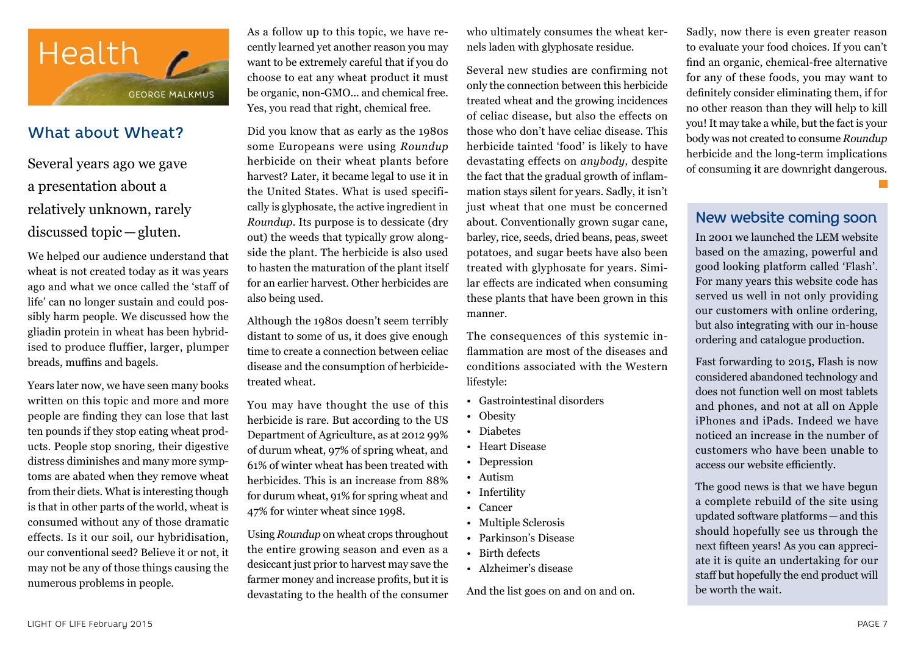

## What about Wheat?

Several years ago we gave a presentation about a relatively unknown, rarely discussed topic—gluten.

We helped our audience understand that wheat is not created today as it was years ago and what we once called the 'staff of life' can no longer sustain and could possibly harm people. We discussed how the gliadin protein in wheat has been hybridised to produce fluffier, larger, plumper breads, muffins and bagels.

Years later now, we have seen many books written on this topic and more and more people are finding they can lose that last ten pounds if they stop eating wheat products. People stop snoring, their digestive distress diminishes and many more symptoms are abated when they remove wheat from their diets. What is interesting though is that in other parts of the world, wheat is consumed without any of those dramatic effects. Is it our soil, our hybridisation, our conventional seed? Believe it or not, it may not be any of those things causing the numerous problems in people.

As a follow up to this topic, we have recently learned yet another reason you may want to be extremely careful that if you do choose to eat any wheat product it must be organic, non-GMO... and chemical free. Yes, you read that right, chemical free.

Did you know that as early as the 1980s some Europeans were using *Roundup* herbicide on their wheat plants before harvest? Later, it became legal to use it in the United States. What is used specifically is glyphosate, the active ingredient in *Roundup*. Its purpose is to dessicate (dry out) the weeds that typically grow alongside the plant. The herbicide is also used to hasten the maturation of the plant itself for an earlier harvest. Other herbicides are also being used.

Although the 1980s doesn't seem terribly distant to some of us, it does give enough time to create a connection between celiac disease and the consumption of herbicidetreated wheat.

You may have thought the use of this herbicide is rare. But according to the US Department of Agriculture, as at 2012 99% of durum wheat, 97% of spring wheat, and 61% of winter wheat has been treated with herbicides. This is an increase from 88% for durum wheat, 91% for spring wheat and 47% for winter wheat since 1998.

Using *Roundup* on wheat crops throughout the entire growing season and even as a desiccant just prior to harvest may save the farmer money and increase profits, but it is devastating to the health of the consumer

who ultimately consumes the wheat kernels laden with glyphosate residue.

Several new studies are confirming not only the connection between this herbicide treated wheat and the growing incidences of celiac disease, but also the effects on those who don't have celiac disease. This herbicide tainted 'food' is likely to have devastating effects on *anybody,* despite the fact that the gradual growth of inflammation stays silent for years. Sadly, it isn't just wheat that one must be concerned about. Conventionally grown sugar cane, barley, rice, seeds, dried beans, peas, sweet potatoes, and sugar beets have also been treated with glyphosate for years. Similar effects are indicated when consuming these plants that have been grown in this manner.

The consequences of this systemic inflammation are most of the diseases and conditions associated with the Western lifestyle:

- Gastrointestinal disorders
- Obesity
- Diabetes
- Heart Disease
- Depression
- Autism
- Infertility
- Cancer
- Multiple Sclerosis
- Parkinson's Disease
- Birth defects
- Alzheimer's disease

And the list goes on and on and on.

Sadly, now there is even greater reason to evaluate your food choices. If you can't find an organic, chemical-free alternative for any of these foods, you may want to definitely consider eliminating them, if for no other reason than they will help to kill you! It may take a while, but the fact is your body was not created to consume *Roundup*  herbicide and the long-term implications of consuming it are downright dangerous.

New website coming soon

In 2001 we launched the LEM website based on the amazing, powerful and good looking platform called 'Flash'. For many years this website code has served us well in not only providing our customers with online ordering, but also integrating with our in-house ordering and catalogue production.

Fast forwarding to 2015, Flash is now considered abandoned technology and does not function well on most tablets and phones, and not at all on Apple iPhones and iPads. Indeed we have noticed an increase in the number of customers who have been unable to access our website efficiently.

The good news is that we have begun a complete rebuild of the site using updated software platforms—and this should hopefully see us through the next fifteen years! As you can appreciate it is quite an undertaking for our staff but hopefully the end product will be worth the wait.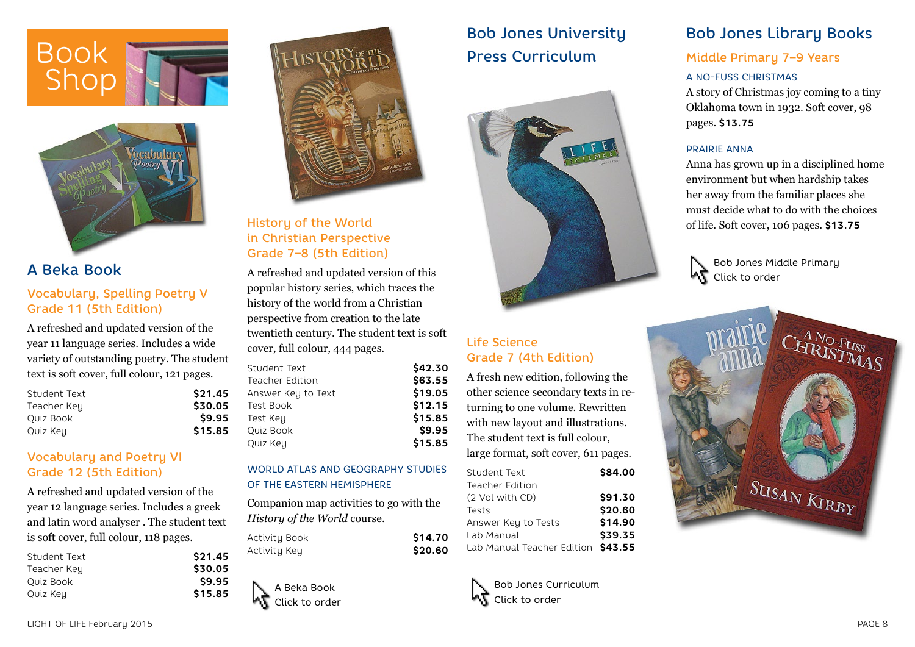



# A Beka Book

## Vocabulary, Spelling Poetry V Grade 11 (5th Edition)

A refreshed and updated version of the year 11 language series. Includes a wide variety of outstanding poetry. The student text is soft cover, full colour, 121 pages.

| Student Text | \$21.45 |
|--------------|---------|
| Teacher Key  | \$30.05 |
| Ouiz Book    | \$9.95  |
| Quiz Key     | \$15.85 |

## Vocabulary and Poetry VI Grade 12 (5th Edition)

A refreshed and updated version of the year 12 language series. Includes a greek and latin word analyser . The student text is soft cover, full colour, 118 pages.

| Student Text | \$21.45 |
|--------------|---------|
| Teacher Key  | \$30.05 |
| Ouiz Book    | \$9.95  |
| Quiz Key     | \$15.85 |



## History of the World in Christian Perspective Grade 7–8 (5th Edition)

A refreshed and updated version of this popular history series, which traces the history of the world from a Christian perspective from creation to the late twentieth century. The student text is soft cover, full colour, 444 pages.

| Student Text           | \$42.30 |
|------------------------|---------|
| <b>Teacher Edition</b> | \$63.55 |
| Answer Key to Text     | \$19.05 |
| Test Book              | \$12.15 |
| Test Key               | \$15.85 |
| Quiz Book              | \$9.95  |
| Quiz Key               | \$15.85 |
|                        |         |

#### WORLD ATLAS AND GEOGRAPHY STUDIES OF THE EASTERN HEMISPHERE

Companion map activities to go with the *History of the World* course.

| Activity Book | \$14.70 |
|---------------|---------|
| Activity Key  | \$20.60 |

A Beka Book Click to order

# Bob Jones University Press Curriculum



## Life Science Grade 7 (4th Edition)

A fresh new edition, following the other science secondary texts in returning to one volume. Rewritten with new layout and illustrations. The student text is full colour, large format, soft cover, 611 pages.

| Student Text                       | \$84.00 |
|------------------------------------|---------|
| Teacher Edition                    |         |
| (2 Vol with CD)                    | \$91.30 |
| Tests                              | \$20.60 |
| Answer Key to Tests                | \$14.90 |
| Lab Manual                         | \$39.35 |
| Lab Manual Teacher Edition \$43.55 |         |
|                                    |         |



# Bob Jones Library Books

## Middle Primary 7–9 Years

#### A NO-FUSS CHRISTMAS

A story of Christmas joy coming to a tiny Oklahoma town in 1932. Soft cover, 98 pages. **\$13.75**

#### PRAIRIE ANNA

Anna has grown up in a disciplined home environment but when hardship takes her away from the familiar places she must decide what to do with the choices of life. Soft cover, 106 pages. **\$13.75**

Bob Jones Middle Primary **AT** Click to order

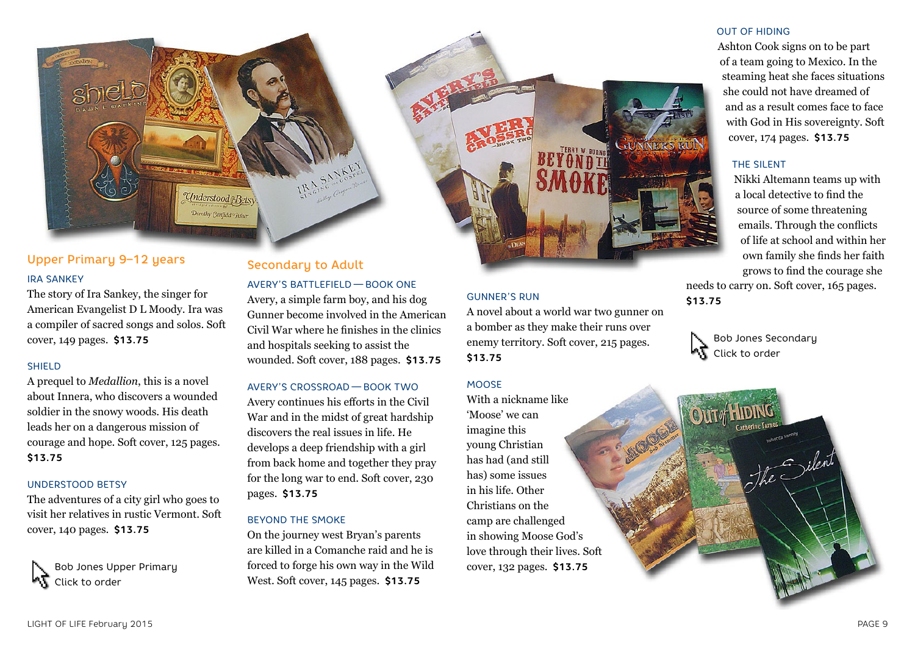

## Upper Primary 9–12 years IRA SANKEY

The story of Ira Sankey, the singer for American Evangelist D L Moody. Ira was a compiler of sacred songs and solos. Soft cover, 149 pages. **\$13.75**

#### SHIELD

A prequel to *Medallion*, this is a novel about Innera, who discovers a wounded soldier in the snowy woods. His death leads her on a dangerous mission of courage and hope. Soft cover, 125 pages. **\$13.75**

#### UNDERSTOOD BETSY

The adventures of a city girl who goes to visit her relatives in rustic Vermont. Soft cover, 140 pages. **\$13.75**

Bob Jones Upper Primary Click to order

## Secondary to Adult

#### AVERY'S BATTLEFIELD — BOOK ONE

Avery, a simple farm boy, and his dog Gunner become involved in the American Civil War where he finishes in the clinics and hospitals seeking to assist the wounded. Soft cover, 188 pages. **\$13.75**

#### AVERY'S CROSSROAD — BOOK TWO

Avery continues his efforts in the Civil War and in the midst of great hardship discovers the real issues in life. He develops a deep friendship with a girl from back home and together they pray for the long war to end. Soft cover, 230 pages. **\$13.75**

#### BEYOND THE SMOKE

On the journey west Bryan's parents are killed in a Comanche raid and he is forced to forge his own way in the Wild West. Soft cover, 145 pages. **\$13.75**

## GUNNER'S RUN

A novel about a world war two gunner on a bomber as they make their runs over enemy territory. Soft cover, 215 pages. **\$13.75**

#### **MOOSE**

With a nickname like 'Moose' we can imagine this young Christian has had (and still has) some issues in his life. Other Christians on the camp are challenged in showing Moose God's love through their lives. Soft cover, 132 pages. **\$13.75**

#### OUT OF HIDING

Ashton Cook signs on to be part of a team going to Mexico. In the steaming heat she faces situations she could not have dreamed of and as a result comes face to face with God in His sovereignty. Soft cover, 174 pages. **\$13.75**

#### THE SILENT

Nikki Altemann teams up with a local detective to find the source of some threatening emails. Through the conflicts of life at school and within her own family she finds her faith grows to find the courage she

needs to carry on. Soft cover, 165 pages. **\$13.75**



Bob Jones Secondary Click to order

LIGHT OF LIFE February 2015 PAGE 9